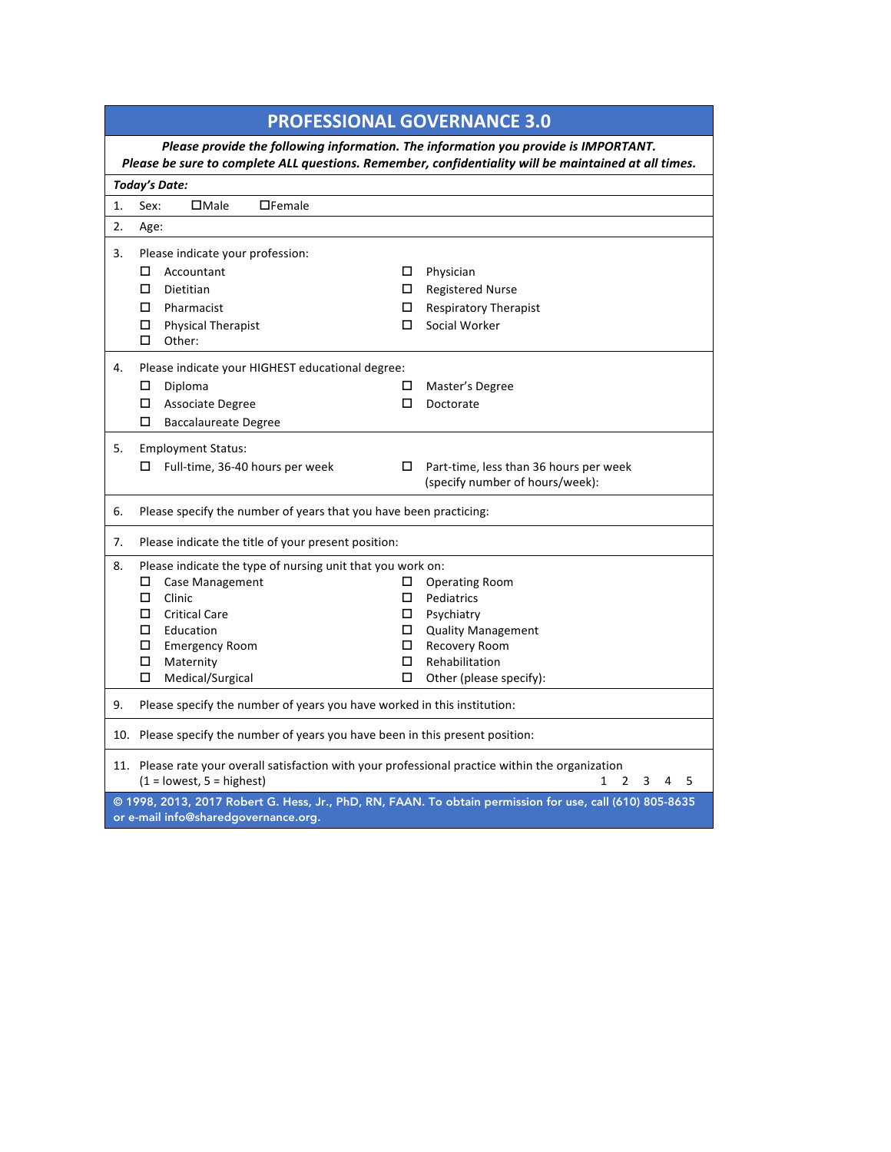|                                                                                                                                                                                             | <b>PROFESSIONAL GOVERNANCE 3.0</b>                                                                                               |              |                                                                                                          |  |  |  |  |  |
|---------------------------------------------------------------------------------------------------------------------------------------------------------------------------------------------|----------------------------------------------------------------------------------------------------------------------------------|--------------|----------------------------------------------------------------------------------------------------------|--|--|--|--|--|
| Please provide the following information. The information you provide is IMPORTANT.<br>Please be sure to complete ALL questions. Remember, confidentiality will be maintained at all times. |                                                                                                                                  |              |                                                                                                          |  |  |  |  |  |
|                                                                                                                                                                                             | <b>Today's Date:</b>                                                                                                             |              |                                                                                                          |  |  |  |  |  |
| 1.                                                                                                                                                                                          | $\square$ Male<br>$\Box$ Female<br>Sex:                                                                                          |              |                                                                                                          |  |  |  |  |  |
| 2.                                                                                                                                                                                          | Age:                                                                                                                             |              |                                                                                                          |  |  |  |  |  |
| 3.                                                                                                                                                                                          | Please indicate your profession:                                                                                                 |              |                                                                                                          |  |  |  |  |  |
|                                                                                                                                                                                             | $\Box$<br>Accountant                                                                                                             | $\Box$       | Physician                                                                                                |  |  |  |  |  |
|                                                                                                                                                                                             | О.<br>Dietitian                                                                                                                  |              | <b>Registered Nurse</b>                                                                                  |  |  |  |  |  |
|                                                                                                                                                                                             | $\Box$ Pharmacist                                                                                                                | $\Box$       | <b>Respiratory Therapist</b>                                                                             |  |  |  |  |  |
|                                                                                                                                                                                             | □ Physical Therapist                                                                                                             |              | Social Worker                                                                                            |  |  |  |  |  |
|                                                                                                                                                                                             | $\Box$<br>Other:                                                                                                                 |              |                                                                                                          |  |  |  |  |  |
| 4.                                                                                                                                                                                          | Please indicate your HIGHEST educational degree:                                                                                 |              |                                                                                                          |  |  |  |  |  |
|                                                                                                                                                                                             | $\Box$<br>Diploma                                                                                                                | □            | Master's Degree                                                                                          |  |  |  |  |  |
|                                                                                                                                                                                             | $\Box$ Associate Degree                                                                                                          | □            | Doctorate                                                                                                |  |  |  |  |  |
|                                                                                                                                                                                             | □<br><b>Baccalaureate Degree</b>                                                                                                 |              |                                                                                                          |  |  |  |  |  |
| 5.                                                                                                                                                                                          | <b>Employment Status:</b>                                                                                                        |              |                                                                                                          |  |  |  |  |  |
|                                                                                                                                                                                             | Full-time, 36-40 hours per week<br>□                                                                                             |              | Part-time, less than 36 hours per week                                                                   |  |  |  |  |  |
|                                                                                                                                                                                             |                                                                                                                                  |              | (specify number of hours/week):                                                                          |  |  |  |  |  |
| 6.                                                                                                                                                                                          | Please specify the number of years that you have been practicing:                                                                |              |                                                                                                          |  |  |  |  |  |
| 7.                                                                                                                                                                                          | Please indicate the title of your present position:                                                                              |              |                                                                                                          |  |  |  |  |  |
| 8.                                                                                                                                                                                          | Please indicate the type of nursing unit that you work on:                                                                       |              |                                                                                                          |  |  |  |  |  |
|                                                                                                                                                                                             | Case Management                                                                                                                  | 0.           | <b>Operating Room</b>                                                                                    |  |  |  |  |  |
|                                                                                                                                                                                             | $\Box$<br>Clinic                                                                                                                 | $\Box$       | Pediatrics                                                                                               |  |  |  |  |  |
|                                                                                                                                                                                             | $\Box$ Critical Care                                                                                                             |              | Psychiatry                                                                                               |  |  |  |  |  |
|                                                                                                                                                                                             | Education<br>□ □                                                                                                                 | $\Box$       | <b>Quality Management</b>                                                                                |  |  |  |  |  |
|                                                                                                                                                                                             | $\Box$ Emergency Room<br>□<br>Maternity                                                                                          | $\Box$<br>0. | Recovery Room<br>Rehabilitation                                                                          |  |  |  |  |  |
|                                                                                                                                                                                             | □<br>Medical/Surgical                                                                                                            | □            | Other (please specify):                                                                                  |  |  |  |  |  |
|                                                                                                                                                                                             |                                                                                                                                  |              |                                                                                                          |  |  |  |  |  |
| 9.                                                                                                                                                                                          | Please specify the number of years you have worked in this institution:                                                          |              |                                                                                                          |  |  |  |  |  |
|                                                                                                                                                                                             | 10. Please specify the number of years you have been in this present position:                                                   |              |                                                                                                          |  |  |  |  |  |
|                                                                                                                                                                                             | 11. Please rate your overall satisfaction with your professional practice within the organization<br>$(1 =$ lowest, 5 = highest) |              | 1<br>2<br>4<br>5<br>3                                                                                    |  |  |  |  |  |
|                                                                                                                                                                                             | or e-mail info@sharedgovernance.org.                                                                                             |              | @ 1998, 2013, 2017 Robert G. Hess, Jr., PhD, RN, FAAN. To obtain permission for use, call (610) 805-8635 |  |  |  |  |  |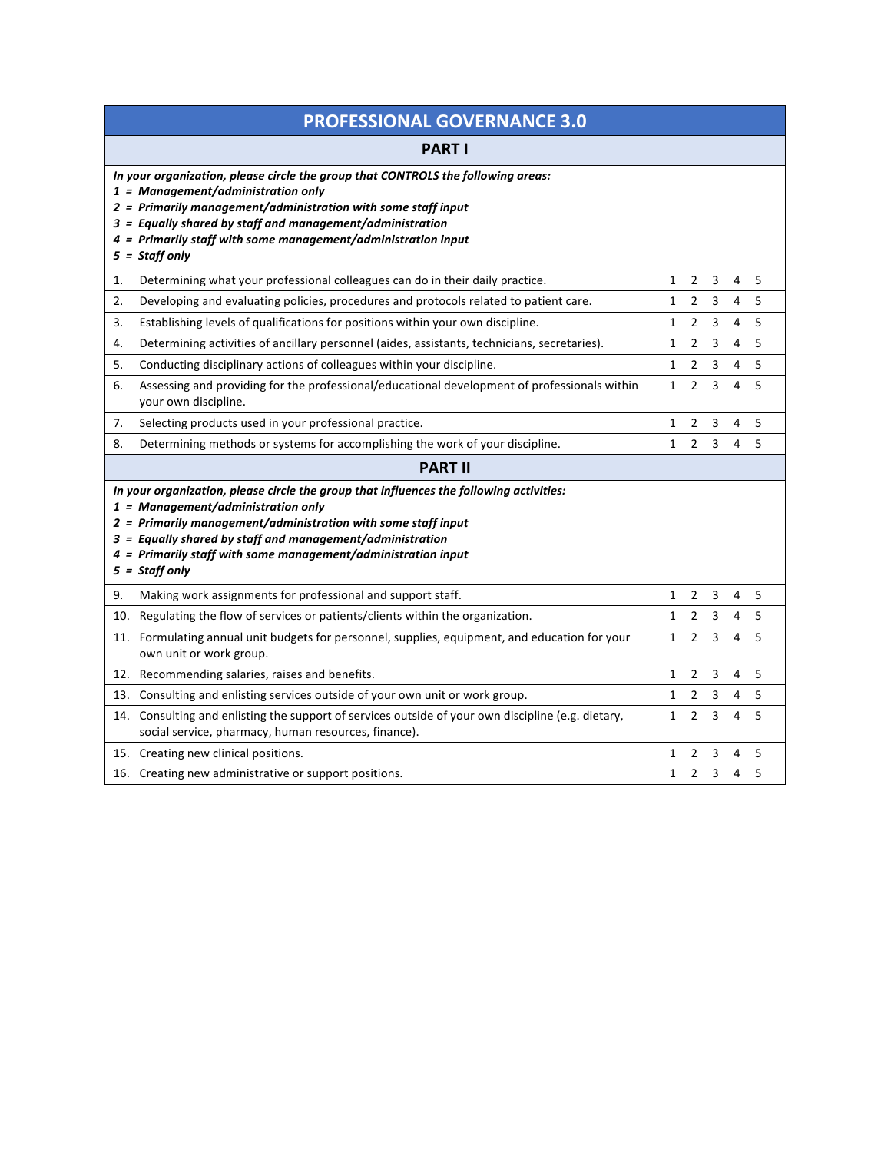| <b>PROFESSIONAL GOVERNANCE 3.0</b>                                                                                                                                                                                                                                                                                                                   |                                                    |  |  |  |  |  |  |
|------------------------------------------------------------------------------------------------------------------------------------------------------------------------------------------------------------------------------------------------------------------------------------------------------------------------------------------------------|----------------------------------------------------|--|--|--|--|--|--|
| <b>PART I</b>                                                                                                                                                                                                                                                                                                                                        |                                                    |  |  |  |  |  |  |
| In your organization, please circle the group that CONTROLS the following areas:<br>$1$ = Management/administration only<br>$2$ = Primarily management/administration with some staff input<br>$3$ = Equally shared by staff and management/administration<br>$4$ = Primarily staff with some management/administration input<br>$5 =$ Staff only    |                                                    |  |  |  |  |  |  |
| Determining what your professional colleagues can do in their daily practice.<br>1.                                                                                                                                                                                                                                                                  | $\mathbf{1}$<br>$\overline{2}$<br>3<br>4<br>5      |  |  |  |  |  |  |
| 2.<br>Developing and evaluating policies, procedures and protocols related to patient care.                                                                                                                                                                                                                                                          | $\mathbf{1}$<br>3<br>4<br>5<br>$\overline{2}$      |  |  |  |  |  |  |
| 3.<br>Establishing levels of qualifications for positions within your own discipline.                                                                                                                                                                                                                                                                | $\mathbf{1}$<br>3<br>4<br>5<br>2                   |  |  |  |  |  |  |
| Determining activities of ancillary personnel (aides, assistants, technicians, secretaries).<br>4.                                                                                                                                                                                                                                                   | 5<br>2<br>3<br>4<br>1                              |  |  |  |  |  |  |
| 5.<br>Conducting disciplinary actions of colleagues within your discipline.                                                                                                                                                                                                                                                                          | $\mathbf{1}$<br>$\overline{2}$<br>3<br>4<br>5      |  |  |  |  |  |  |
| 6.<br>Assessing and providing for the professional/educational development of professionals within<br>your own discipline.                                                                                                                                                                                                                           | $\mathbf{1}$<br>$\overline{2}$<br>3<br>4<br>5      |  |  |  |  |  |  |
| 7.<br>Selecting products used in your professional practice.                                                                                                                                                                                                                                                                                         | 1<br>2<br>3<br>4<br>5                              |  |  |  |  |  |  |
| Determining methods or systems for accomplishing the work of your discipline.<br>8.                                                                                                                                                                                                                                                                  | 5<br>$\mathbf{1}$<br>$\overline{2}$<br>3<br>4      |  |  |  |  |  |  |
| <b>PART II</b>                                                                                                                                                                                                                                                                                                                                       |                                                    |  |  |  |  |  |  |
| In your organization, please circle the group that influences the following activities:<br>$1$ = Management/administration only<br>2 = Primarily management/administration with some staff input<br>$3$ = Equally shared by staff and management/administration<br>4 = Primarily staff with some management/administration input<br>$5 =$ Staff only |                                                    |  |  |  |  |  |  |
| Making work assignments for professional and support staff.<br>9.                                                                                                                                                                                                                                                                                    | $\mathbf{1}$<br>$2 \quad 3$<br>$\overline{4}$<br>5 |  |  |  |  |  |  |
| 10. Regulating the flow of services or patients/clients within the organization.                                                                                                                                                                                                                                                                     | $\mathbf{1}$<br>4<br>5<br>$\overline{2}$<br>3      |  |  |  |  |  |  |
| 11. Formulating annual unit budgets for personnel, supplies, equipment, and education for your<br>own unit or work group.                                                                                                                                                                                                                            | $\overline{2}$<br>3<br>4<br>5<br>$\mathbf{1}$      |  |  |  |  |  |  |
| 12. Recommending salaries, raises and benefits.                                                                                                                                                                                                                                                                                                      | 3<br>4<br>5<br>$\mathbf{1}$<br>$\overline{2}$      |  |  |  |  |  |  |
| 13.<br>Consulting and enlisting services outside of your own unit or work group.                                                                                                                                                                                                                                                                     | $\mathbf{1}$<br>$\overline{2}$<br>3<br>5<br>4      |  |  |  |  |  |  |
| 14. Consulting and enlisting the support of services outside of your own discipline (e.g. dietary,<br>social service, pharmacy, human resources, finance).                                                                                                                                                                                           | $\mathbf{1}$<br>$\overline{2}$<br>3<br>4<br>5      |  |  |  |  |  |  |
| 15. Creating new clinical positions.                                                                                                                                                                                                                                                                                                                 | $\mathbf{1}$<br>3<br>4<br>5<br>2                   |  |  |  |  |  |  |
| 16. Creating new administrative or support positions.                                                                                                                                                                                                                                                                                                | $\mathbf{1}$<br>$\overline{2}$<br>3<br>4<br>5      |  |  |  |  |  |  |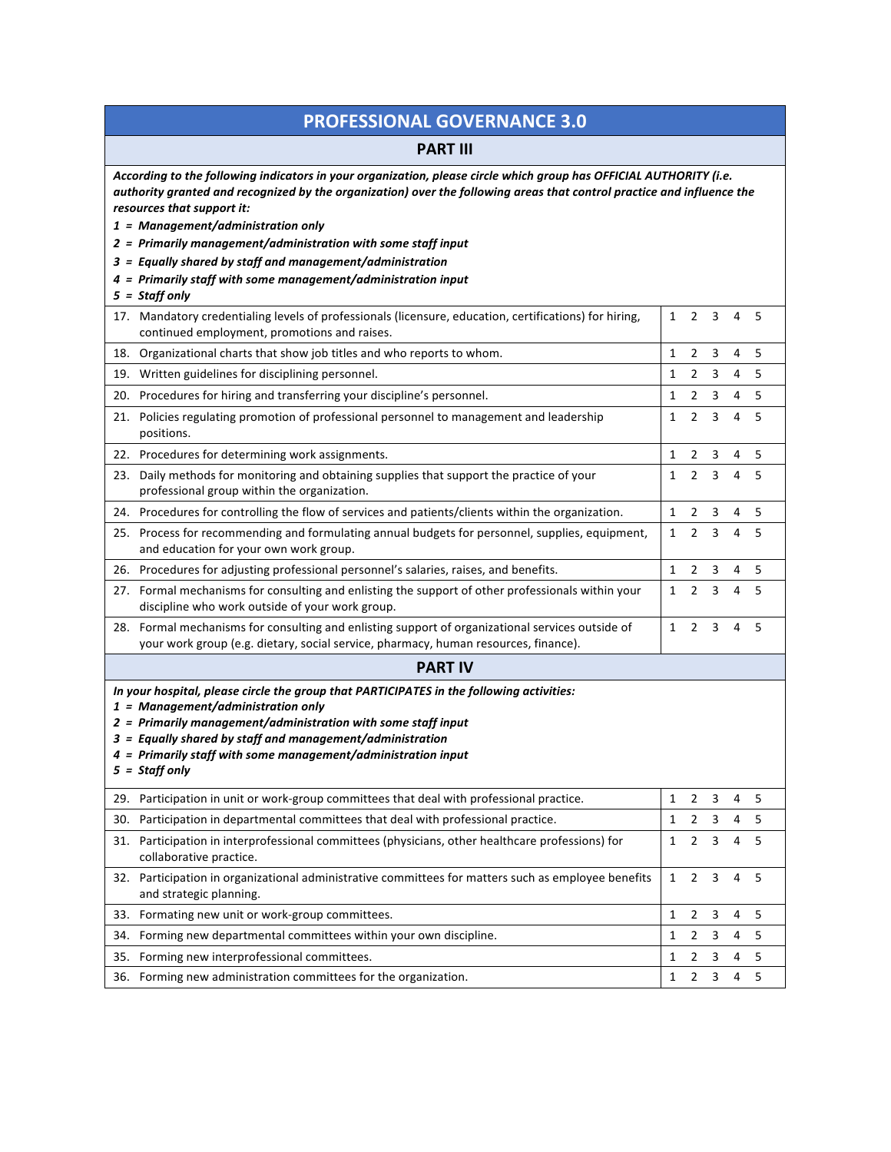## **PROFESSIONAL GOVERNANCE 3.0**

## **PART III**

| According to the following indicators in your organization, please circle which group has OFFICIAL AUTHORITY (i.e.<br>authority granted and recognized by the organization) over the following areas that control practice and influence the<br>resources that support it:                                                                            |              |                |   |                |   |  |
|-------------------------------------------------------------------------------------------------------------------------------------------------------------------------------------------------------------------------------------------------------------------------------------------------------------------------------------------------------|--------------|----------------|---|----------------|---|--|
|                                                                                                                                                                                                                                                                                                                                                       |              |                |   |                |   |  |
| $1$ = Management/administration only                                                                                                                                                                                                                                                                                                                  |              |                |   |                |   |  |
| 2 = Primarily management/administration with some staff input                                                                                                                                                                                                                                                                                         |              |                |   |                |   |  |
| 3 = Equally shared by staff and management/administration                                                                                                                                                                                                                                                                                             |              |                |   |                |   |  |
| 4 = Primarily staff with some management/administration input                                                                                                                                                                                                                                                                                         |              |                |   |                |   |  |
| $5 =$ Staff only                                                                                                                                                                                                                                                                                                                                      |              |                |   |                |   |  |
| 17. Mandatory credentialing levels of professionals (licensure, education, certifications) for hiring,<br>continued employment, promotions and raises.                                                                                                                                                                                                | $\mathbf{1}$ | $\overline{2}$ | 3 | 4              | 5 |  |
| 18. Organizational charts that show job titles and who reports to whom.                                                                                                                                                                                                                                                                               | 1            | 2              | 3 | 4              | 5 |  |
| 19. Written guidelines for disciplining personnel.                                                                                                                                                                                                                                                                                                    | 1            | $\overline{2}$ | 3 | 4              | 5 |  |
| 20. Procedures for hiring and transferring your discipline's personnel.                                                                                                                                                                                                                                                                               | 1            | $\overline{2}$ | 3 | 4              | 5 |  |
| 21. Policies regulating promotion of professional personnel to management and leadership<br>positions.                                                                                                                                                                                                                                                | 1            | $\overline{2}$ | 3 | 4              | 5 |  |
| 22. Procedures for determining work assignments.                                                                                                                                                                                                                                                                                                      | 1            | $\overline{2}$ | 3 | 4              | 5 |  |
| 23. Daily methods for monitoring and obtaining supplies that support the practice of your<br>professional group within the organization.                                                                                                                                                                                                              | 1            | $\overline{2}$ | 3 | 4              | 5 |  |
| 24. Procedures for controlling the flow of services and patients/clients within the organization.                                                                                                                                                                                                                                                     | 1            | 2              | 3 | 4              | 5 |  |
| 25. Process for recommending and formulating annual budgets for personnel, supplies, equipment,<br>and education for your own work group.                                                                                                                                                                                                             | 1            | $\overline{2}$ | 3 | 4              | 5 |  |
| 26. Procedures for adjusting professional personnel's salaries, raises, and benefits.                                                                                                                                                                                                                                                                 | 1            | $\overline{2}$ | 3 | 4              | 5 |  |
| 27. Formal mechanisms for consulting and enlisting the support of other professionals within your<br>discipline who work outside of your work group.                                                                                                                                                                                                  | 1            | $\overline{2}$ | 3 | 4              | 5 |  |
| 28. Formal mechanisms for consulting and enlisting support of organizational services outside of<br>your work group (e.g. dietary, social service, pharmacy, human resources, finance).                                                                                                                                                               | 1            | $\overline{2}$ | 3 | 4              | 5 |  |
| <b>PART IV</b>                                                                                                                                                                                                                                                                                                                                        |              |                |   |                |   |  |
| In your hospital, please circle the group that PARTICIPATES in the following activities:<br>$1$ = Management/administration only<br>$2$ = Primarily management/administration with some staff input<br>3 = Equally shared by staff and management/administration<br>4 = Primarily staff with some management/administration input<br>$5 =$ Staff only |              |                |   |                |   |  |
| 29. Participation in unit or work-group committees that deal with professional practice.                                                                                                                                                                                                                                                              | $\mathbf{1}$ | $2 \quad 3$    |   | 4 <sub>5</sub> |   |  |
| 30. Participation in departmental committees that deal with professional practice.                                                                                                                                                                                                                                                                    | 1            | 2              | 3 | 4              | 5 |  |
| Participation in interprofessional committees (physicians, other healthcare professions) for<br>31.<br>collaborative practice.                                                                                                                                                                                                                        | 1            | 2              | 3 | 4              | 5 |  |
| 32. Participation in organizational administrative committees for matters such as employee benefits<br>and strategic planning.                                                                                                                                                                                                                        | 1            | $\overline{2}$ | 3 | 4              | 5 |  |
| 33. Formating new unit or work-group committees.                                                                                                                                                                                                                                                                                                      | 1            | 2              | 3 | 4              | 5 |  |
| 34. Forming new departmental committees within your own discipline.                                                                                                                                                                                                                                                                                   | 1            | $\overline{2}$ | 3 | 4              | 5 |  |
| 35. Forming new interprofessional committees.                                                                                                                                                                                                                                                                                                         | 1            | $\overline{2}$ | 3 | 4              | 5 |  |
| 36. Forming new administration committees for the organization.                                                                                                                                                                                                                                                                                       | 1            | $\overline{2}$ | 3 | 4              | 5 |  |